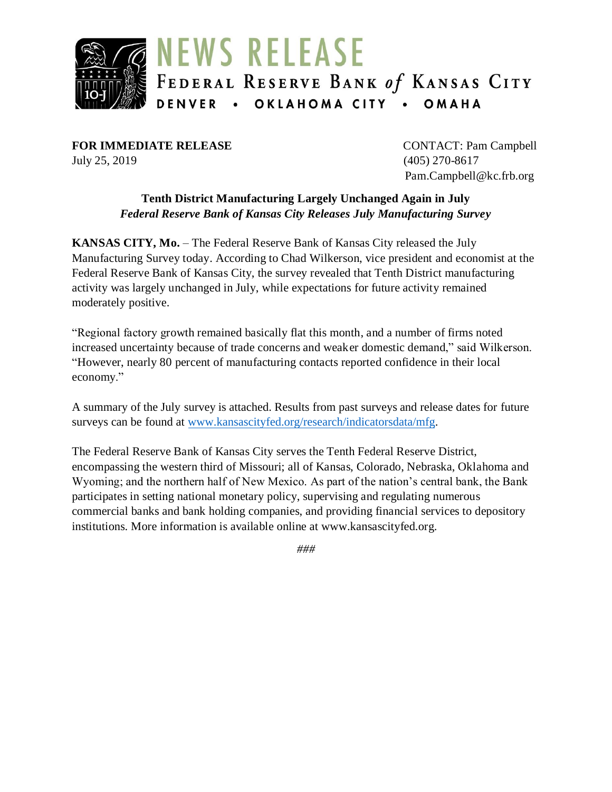

**FOR IMMEDIATE RELEASE** CONTACT: Pam Campbell July 25, 2019 (405) 270-8617

Pam.Campbell@kc.frb.org

### **Tenth District Manufacturing Largely Unchanged Again in July** *Federal Reserve Bank of Kansas City Releases July Manufacturing Survey*

**KANSAS CITY, Mo.** – The Federal Reserve Bank of Kansas City released the July Manufacturing Survey today. According to Chad Wilkerson, vice president and economist at the Federal Reserve Bank of Kansas City, the survey revealed that Tenth District manufacturing activity was largely unchanged in July, while expectations for future activity remained moderately positive.

"Regional factory growth remained basically flat this month, and a number of firms noted increased uncertainty because of trade concerns and weaker domestic demand," said Wilkerson. "However, nearly 80 percent of manufacturing contacts reported confidence in their local economy."

A summary of the July survey is attached. Results from past surveys and release dates for future surveys can be found at [www.kansascityfed.org/research/indicatorsdata/mfg.](https://www.kansascityfed.org/research/indicatorsdata/mfg)

The Federal Reserve Bank of Kansas City serves the Tenth Federal Reserve District, encompassing the western third of Missouri; all of Kansas, Colorado, Nebraska, Oklahoma and Wyoming; and the northern half of New Mexico. As part of the nation's central bank, the Bank participates in setting national monetary policy, supervising and regulating numerous commercial banks and bank holding companies, and providing financial services to depository institutions. More information is available online at www.kansascityfed.org.

*###*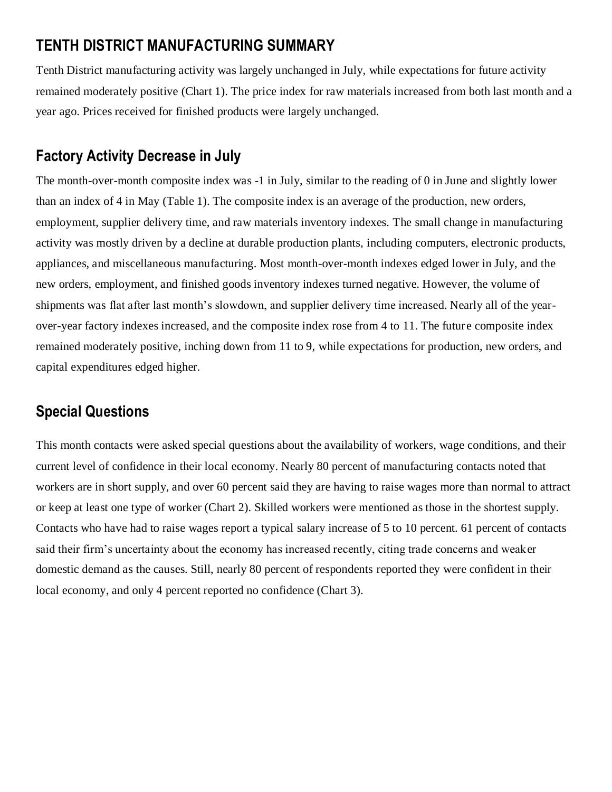# **TENTH DISTRICT MANUFACTURING SUMMARY**

Tenth District manufacturing activity was largely unchanged in July, while expectations for future activity remained moderately positive (Chart 1). The price index for raw materials increased from both last month and a year ago. Prices received for finished products were largely unchanged.

# **Factory Activity Decrease in July**

The month-over-month composite index was -1 in July, similar to the reading of 0 in June and slightly lower than an index of 4 in May (Table 1). The composite index is an average of the production, new orders, employment, supplier delivery time, and raw materials inventory indexes. The small change in manufacturing activity was mostly driven by a decline at durable production plants, including computers, electronic products, appliances, and miscellaneous manufacturing. Most month-over-month indexes edged lower in July, and the new orders, employment, and finished goods inventory indexes turned negative. However, the volume of shipments was flat after last month's slowdown, and supplier delivery time increased. Nearly all of the yearover-year factory indexes increased, and the composite index rose from 4 to 11. The future composite index remained moderately positive, inching down from 11 to 9, while expectations for production, new orders, and capital expenditures edged higher.

# **Special Questions**

This month contacts were asked special questions about the availability of workers, wage conditions, and their current level of confidence in their local economy. Nearly 80 percent of manufacturing contacts noted that workers are in short supply, and over 60 percent said they are having to raise wages more than normal to attract or keep at least one type of worker (Chart 2). Skilled workers were mentioned as those in the shortest supply. Contacts who have had to raise wages report a typical salary increase of 5 to 10 percent. 61 percent of contacts said their firm's uncertainty about the economy has increased recently, citing trade concerns and weaker domestic demand as the causes. Still, nearly 80 percent of respondents reported they were confident in their local economy, and only 4 percent reported no confidence (Chart 3).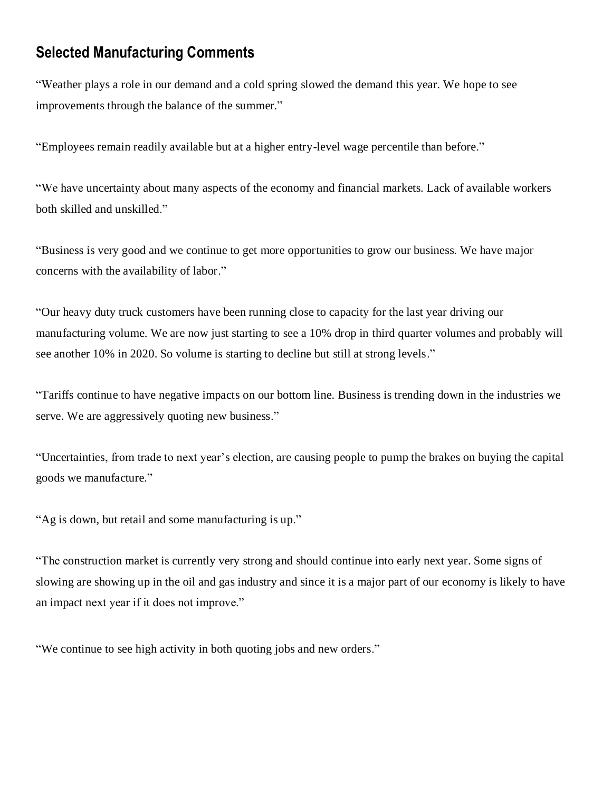## **Selected Manufacturing Comments**

"Weather plays a role in our demand and a cold spring slowed the demand this year. We hope to see improvements through the balance of the summer."

"Employees remain readily available but at a higher entry-level wage percentile than before."

"We have uncertainty about many aspects of the economy and financial markets. Lack of available workers both skilled and unskilled."

"Business is very good and we continue to get more opportunities to grow our business. We have major concerns with the availability of labor."

"Our heavy duty truck customers have been running close to capacity for the last year driving our manufacturing volume. We are now just starting to see a 10% drop in third quarter volumes and probably will see another 10% in 2020. So volume is starting to decline but still at strong levels."

"Tariffs continue to have negative impacts on our bottom line. Business is trending down in the industries we serve. We are aggressively quoting new business."

"Uncertainties, from trade to next year's election, are causing people to pump the brakes on buying the capital goods we manufacture."

"Ag is down, but retail and some manufacturing is up."

"The construction market is currently very strong and should continue into early next year. Some signs of slowing are showing up in the oil and gas industry and since it is a major part of our economy is likely to have an impact next year if it does not improve."

"We continue to see high activity in both quoting jobs and new orders."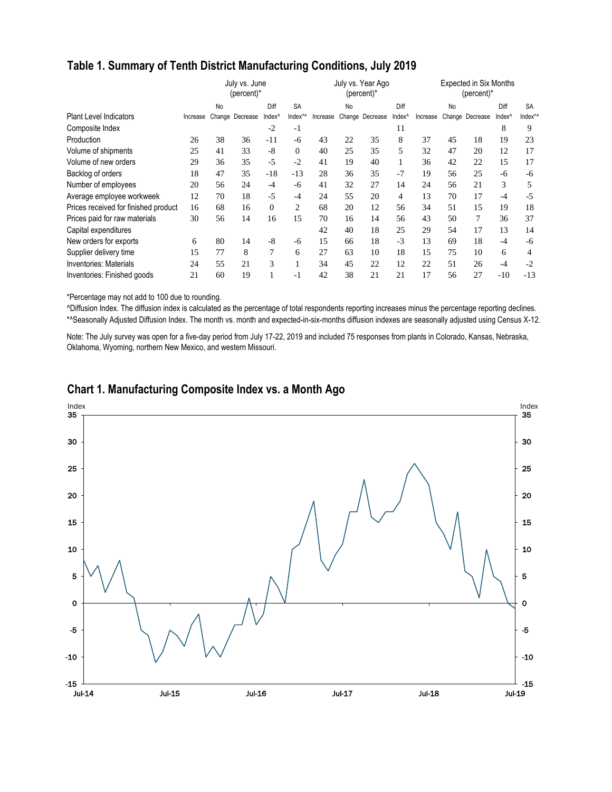|  |  |  | Table 1. Summary of Tenth District Manufacturing Conditions, July 2019 |  |
|--|--|--|------------------------------------------------------------------------|--|
|--|--|--|------------------------------------------------------------------------|--|

|                                      | July vs. June<br>(percent)* |    |                 |                    |           |          |           | July vs. Year Ago<br>(percent)* |                    | <b>Expected in Six Months</b><br>$(percent)^*$ |    |                 |                    |                     |  |
|--------------------------------------|-----------------------------|----|-----------------|--------------------|-----------|----------|-----------|---------------------------------|--------------------|------------------------------------------------|----|-----------------|--------------------|---------------------|--|
|                                      |                             | No |                 | Diff               | <b>SA</b> |          | <b>No</b> |                                 | Diff               |                                                | No |                 | Diff               | <b>SA</b>           |  |
| <b>Plant Level Indicators</b>        | Increase                    |    | Change Decrease | Index <sup>^</sup> | Index*^   | Increase |           | Change Decrease                 | Index <sup>^</sup> | Increase                                       |    | Change Decrease | Index <sup>^</sup> | Index* <sup>*</sup> |  |
| Composite Index                      |                             |    |                 | $-2$               | $-1$      |          |           |                                 | 11                 |                                                |    |                 | 8                  | 9                   |  |
| Production                           | 26                          | 38 | 36              | $-11$              | -6        | 43       | 22        | 35                              | 8                  | 37                                             | 45 | 18              | 19                 | 23                  |  |
| Volume of shipments                  | 25                          | 41 | 33              | $-8$               | $\Omega$  | 40       | 25        | 35                              | 5                  | 32                                             | 47 | 20              | 12                 | 17                  |  |
| Volume of new orders                 | 29                          | 36 | 35              | $-5$               | $-2$      | 41       | 19        | 40                              |                    | 36                                             | 42 | 22              | 15                 | 17                  |  |
| Backlog of orders                    | 18                          | 47 | 35              | $-18$              | $-13$     | 28       | 36        | 35                              | $-7$               | 19                                             | 56 | 25              | $-6$               | -6                  |  |
| Number of employees                  | 20                          | 56 | 24              | -4                 | $-6$      | 41       | 32        | 27                              | 14                 | 24                                             | 56 | 21              | 3                  | 5                   |  |
| Average employee workweek            | 12                          | 70 | 18              | $-5$               | $-4$      | 24       | 55        | 20                              | 4                  | 13                                             | 70 | 17              | $-4$               | -5                  |  |
| Prices received for finished product | 16                          | 68 | 16              | $\mathbf{0}$       | 2         | 68       | 20        | 12                              | 56                 | 34                                             | 51 | 15              | 19                 | 18                  |  |
| Prices paid for raw materials        | 30                          | 56 | 14              | 16                 | 15        | 70       | 16        | 14                              | 56                 | 43                                             | 50 |                 | 36                 | 37                  |  |
| Capital expenditures                 |                             |    |                 |                    |           | 42       | 40        | 18                              | 25                 | 29                                             | 54 | 17              | 13                 | 14                  |  |
| New orders for exports               | 6                           | 80 | 14              | $-8$               | -6        | 15       | 66        | 18                              | $-3$               | 13                                             | 69 | 18              | $-4$               | -6                  |  |
| Supplier delivery time               | 15                          | 77 | 8               | 7                  | 6         | 27       | 63        | 10                              | 18                 | 15                                             | 75 | 10              | 6                  | 4                   |  |
| <b>Inventories: Materials</b>        | 24                          | 55 | 21              | 3                  |           | 34       | 45        | 22                              | 12                 | 22                                             | 51 | 26              | $-4$               | $-2$                |  |
| Inventories: Finished goods          | 21                          | 60 | 19              |                    | $-1$      | 42       | 38        | 21                              | 21                 | 17                                             | 56 | 27              | $-10$              | $-13$               |  |

\*Percentage may not add to 100 due to rounding.

^Diffusion Index. The diffusion index is calculated as the percentage of total respondents reporting increases minus the percentage reporting declines. \*^Seasonally Adjusted Diffusion Index. The month vs. month and expected-in-six-months diffusion indexes are seasonally adjusted using Census X-12.

Note: The July survey was open for a five-day period from July 17-22, 2019 and included 75 responses from plants in Colorado, Kansas, Nebraska, Oklahoma, Wyoming, northern New Mexico, and western Missouri.



## **Chart 1. Manufacturing Composite Index vs. a Month Ago**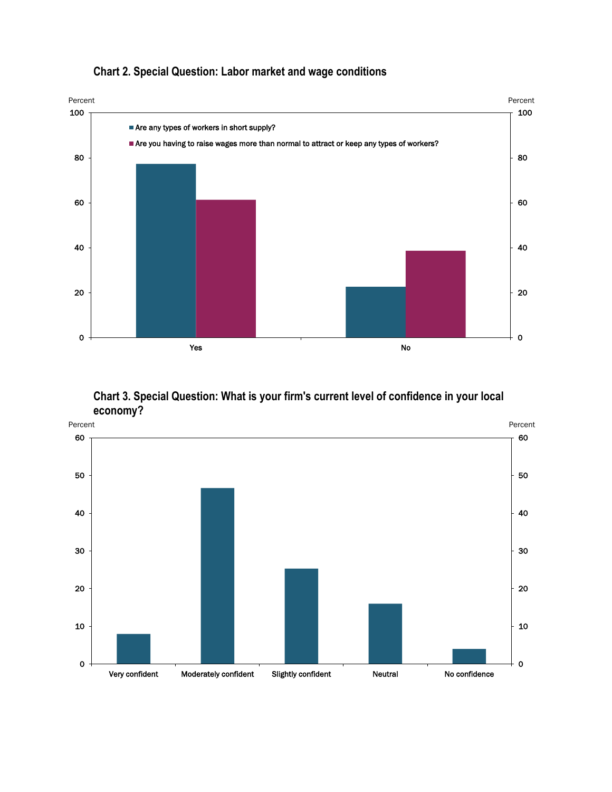

## **Chart 2. Special Question: Labor market and wage conditions**

**Chart 3. Special Question: What is your firm's current level of confidence in your local economy?**